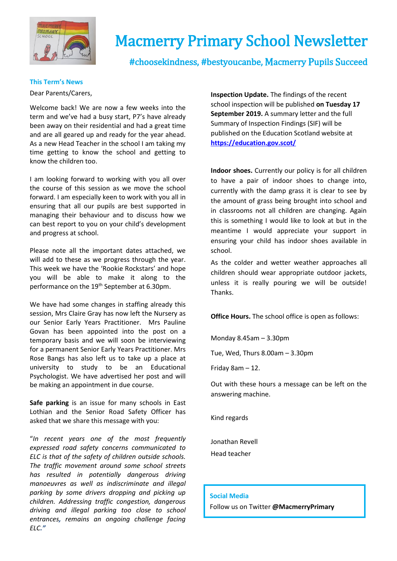

# Macmerry Primary School Newsletter

#choosekindness, #bestyoucanbe, Macmerry Pupils Succeed

## **This Term's News**

Dear Parents/Carers,

Welcome back! We are now a few weeks into the term and we've had a busy start, P7's have already been away on their residential and had a great time and are all geared up and ready for the year ahead. As a new Head Teacher in the school I am taking my time getting to know the school and getting to know the children too.

I am looking forward to working with you all over the course of this session as we move the school forward. I am especially keen to work with you all in ensuring that all our pupils are best supported in managing their behaviour and to discuss how we can best report to you on your child's development and progress at school.

Please note all the important dates attached, we will add to these as we progress through the year. This week we have the 'Rookie Rockstars' and hope you will be able to make it along to the performance on the 19<sup>th</sup> September at 6.30pm.

We have had some changes in staffing already this session, Mrs Claire Gray has now left the Nursery as our Senior Early Years Practitioner. Mrs Pauline Govan has been appointed into the post on a temporary basis and we will soon be interviewing for a permanent Senior Early Years Practitioner. Mrs Rose Bangs has also left us to take up a place at university to study to be an Educational Psychologist. We have advertised her post and will be making an appointment in due course.

**Safe parking** is an issue for many schools in East Lothian and the Senior Road Safety Officer has asked that we share this message with you:

"*In recent years one of the most frequently expressed road safety concerns communicated to ELC is that of the safety of children outside schools. The traffic movement around some school streets has resulted in potentially dangerous driving manoeuvres as well as indiscriminate and illegal parking by some drivers dropping and picking up children. Addressing traffic congestion, dangerous driving and illegal parking too close to school entrances, remains an ongoing challenge facing ELC."*

**Inspection Update.** The findings of the recent school inspection will be published **on Tuesday 17 September 2019.** A summary letter and the full Summary of Inspection Findings (SIF) will be published on the Education Scotland website at **<https://education.gov.scot/>**

**Indoor shoes.** Currently our policy is for all children to have a pair of indoor shoes to change into, currently with the damp grass it is clear to see by the amount of grass being brought into school and in classrooms not all children are changing. Again this is something I would like to look at but in the meantime I would appreciate your support in ensuring your child has indoor shoes available in school.

As the colder and wetter weather approaches all children should wear appropriate outdoor jackets, unless it is really pouring we will be outside! Thanks.

**Office Hours.** The school office is open as follows:

Monday 8.45am – 3.30pm

Tue, Wed, Thurs 8.00am – 3.30pm

Friday 8am – 12.

Out with these hours a message can be left on the answering machine.

Kind regards

Jonathan Revell Head teacher

#### **Social Media**

Follow us on Twitter **@MacmerryPrimary**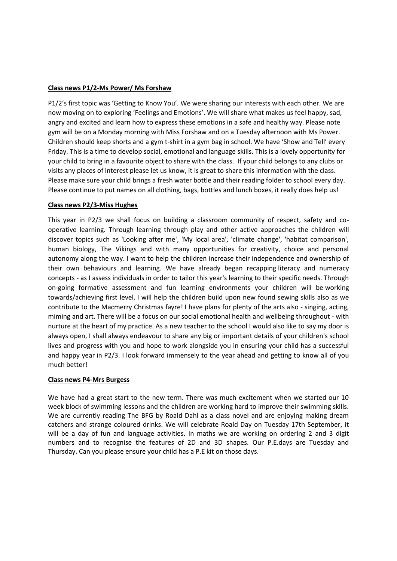#### **Class news P1/2-Ms Power/ Ms Forshaw**

P1/2's first topic was 'Getting to Know You'. We were sharing our interests with each other. We are now moving on to exploring 'Feelings and Emotions'. We will share what makes us feel happy, sad, angry and excited and learn how to express these emotions in a safe and healthy way. Please note gym will be on a Monday morning with Miss Forshaw and on a Tuesday afternoon with Ms Power. Children should keep shorts and a gym t-shirt in a gym bag in school. We have 'Show and Tell' every Friday. This is a time to develop social, emotional and language skills. This is a lovely opportunity for your child to bring in a favourite object to share with the class. If your child belongs to any clubs or visits any places of interest please let us know, it is great to share this information with the class. Please make sure your child brings a fresh water bottle and their reading folder to school every day. Please continue to put names on all clothing, bags, bottles and lunch boxes, it really does help us!

#### **Class news P2/3-Miss Hughes**

This year in P2/3 we shall focus on building a classroom community of respect, safety and cooperative learning. Through learning through play and other active approaches the children will discover topics such as 'Looking after me', 'My local area', 'climate change', 'habitat comparison', human biology, The Vikings and with many opportunities for creativity, choice and personal autonomy along the way. I want to help the children increase their independence and ownership of their own behaviours and learning. We have already began recapping literacy and numeracy concepts - as I assess individuals in order to tailor this year's learning to their specific needs. Through on-going formative assessment and fun learning environments your children will be working towards/achieving first level. I will help the children build upon new found sewing skills also as we contribute to the Macmerry Christmas fayre! I have plans for plenty of the arts also - singing, acting, miming and art. There will be a focus on our social emotional health and wellbeing throughout - with nurture at the heart of my practice. As a new teacher to the school I would also like to say my door is always open, I shall always endeavour to share any big or important details of your children's school lives and progress with you and hope to work alongside you in ensuring your child has a successful and happy year in P2/3. I look forward immensely to the year ahead and getting to know all of you much better!

#### **Class news P4-Mrs Burgess**

We have had a great start to the new term. There was much excitement when we started our 10 week block of swimming lessons and the children are working hard to improve their swimming skills. We are currently reading The BFG by Roald Dahl as a class novel and are enjoying making dream catchers and strange coloured drinks. We will celebrate Roald Day on Tuesday 17th September, it will be a day of fun and language activities. In maths we are working on ordering 2 and 3 digit numbers and to recognise the features of 2D and 3D shapes. Our P.E.days are Tuesday and Thursday. Can you please ensure your child has a P.E kit on those days.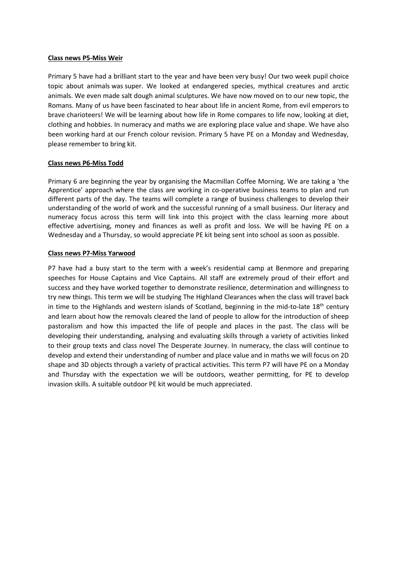#### **Class news P5-Miss Weir**

Primary 5 have had a brilliant start to the year and have been very busy! Our two week pupil choice topic about animals was super. We looked at endangered species, mythical creatures and arctic animals. We even made salt dough animal sculptures. We have now moved on to our new topic, the Romans. Many of us have been fascinated to hear about life in ancient Rome, from evil emperors to brave charioteers! We will be learning about how life in Rome compares to life now, looking at diet, clothing and hobbies. In numeracy and maths we are exploring place value and shape. We have also been working hard at our French colour revision. Primary 5 have PE on a Monday and Wednesday, please remember to bring kit.

#### **Class news P6-Miss Todd**

Primary 6 are beginning the year by organising the Macmillan Coffee Morning. We are taking a 'the Apprentice' approach where the class are working in co-operative business teams to plan and run different parts of the day. The teams will complete a range of business challenges to develop their understanding of the world of work and the successful running of a small business. Our literacy and numeracy focus across this term will link into this project with the class learning more about effective advertising, money and finances as well as profit and loss. We will be having PE on a Wednesday and a Thursday, so would appreciate PE kit being sent into school as soon as possible.

#### **Class news P7-Miss Yarwood**

P7 have had a busy start to the term with a week's residential camp at Benmore and preparing speeches for House Captains and Vice Captains. All staff are extremely proud of their effort and success and they have worked together to demonstrate resilience, determination and willingness to try new things. This term we will be studying The Highland Clearances when the class will travel back in time to the Highlands and western islands of Scotland, beginning in the mid-to-late  $18<sup>th</sup>$  century and learn about how the removals cleared the land of people to allow for the introduction of sheep pastoralism and how this impacted the life of people and places in the past. The class will be developing their understanding, analysing and evaluating skills through a variety of activities linked to their group texts and class novel The Desperate Journey. In numeracy, the class will continue to develop and extend their understanding of number and place value and in maths we will focus on 2D shape and 3D objects through a variety of practical activities. This term P7 will have PE on a Monday and Thursday with the expectation we will be outdoors, weather permitting, for PE to develop invasion skills. A suitable outdoor PE kit would be much appreciated.